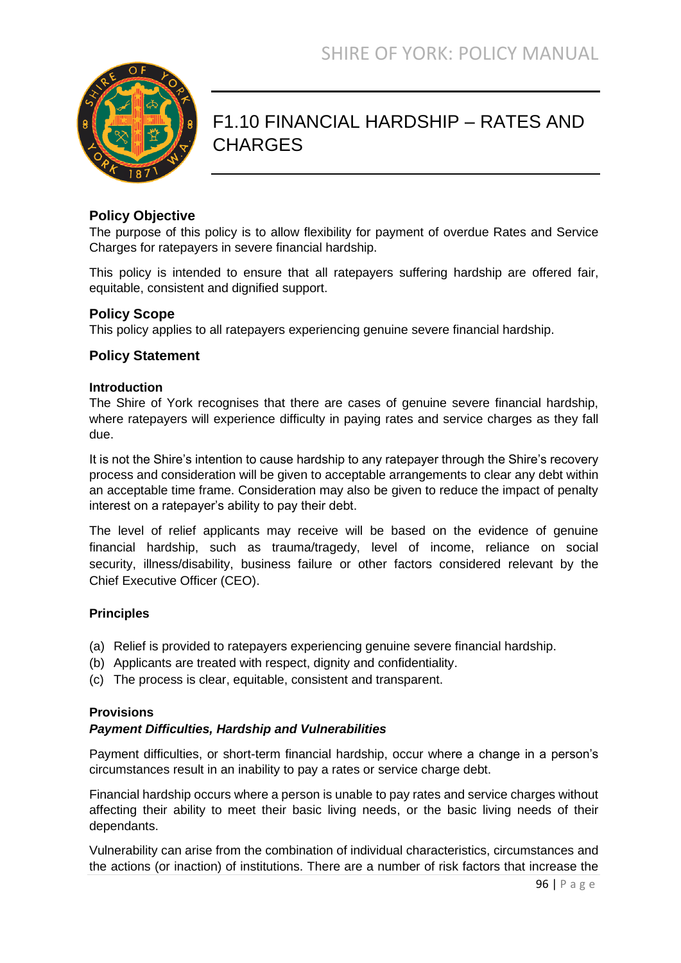

# F1.10 FINANCIAL HARDSHIP – RATES AND **CHARGES**

### **Policy Objective**

The purpose of this policy is to allow flexibility for payment of overdue Rates and Service Charges for ratepayers in severe financial hardship.

This policy is intended to ensure that all ratepayers suffering hardship are offered fair, equitable, consistent and dignified support.

### **Policy Scope**

This policy applies to all ratepayers experiencing genuine severe financial hardship.

### **Policy Statement**

#### **Introduction**

The Shire of York recognises that there are cases of genuine severe financial hardship, where ratepayers will experience difficulty in paying rates and service charges as they fall due.

It is not the Shire's intention to cause hardship to any ratepayer through the Shire's recovery process and consideration will be given to acceptable arrangements to clear any debt within an acceptable time frame. Consideration may also be given to reduce the impact of penalty interest on a ratepayer's ability to pay their debt.

The level of relief applicants may receive will be based on the evidence of genuine financial hardship, such as trauma/tragedy, level of income, reliance on social security, illness/disability, business failure or other factors considered relevant by the Chief Executive Officer (CEO).

#### **Principles**

- (a) Relief is provided to ratepayers experiencing genuine severe financial hardship.
- (b) Applicants are treated with respect, dignity and confidentiality.
- (c) The process is clear, equitable, consistent and transparent.

#### **Provisions**

#### *Payment Difficulties, Hardship and Vulnerabilities*

Payment difficulties, or short-term financial hardship, occur where a change in a person's circumstances result in an inability to pay a rates or service charge debt.

Financial hardship occurs where a person is unable to pay rates and service charges without affecting their ability to meet their basic living needs, or the basic living needs of their dependants.

Vulnerability can arise from the combination of individual characteristics, circumstances and the actions (or inaction) of institutions. There are a number of risk factors that increase the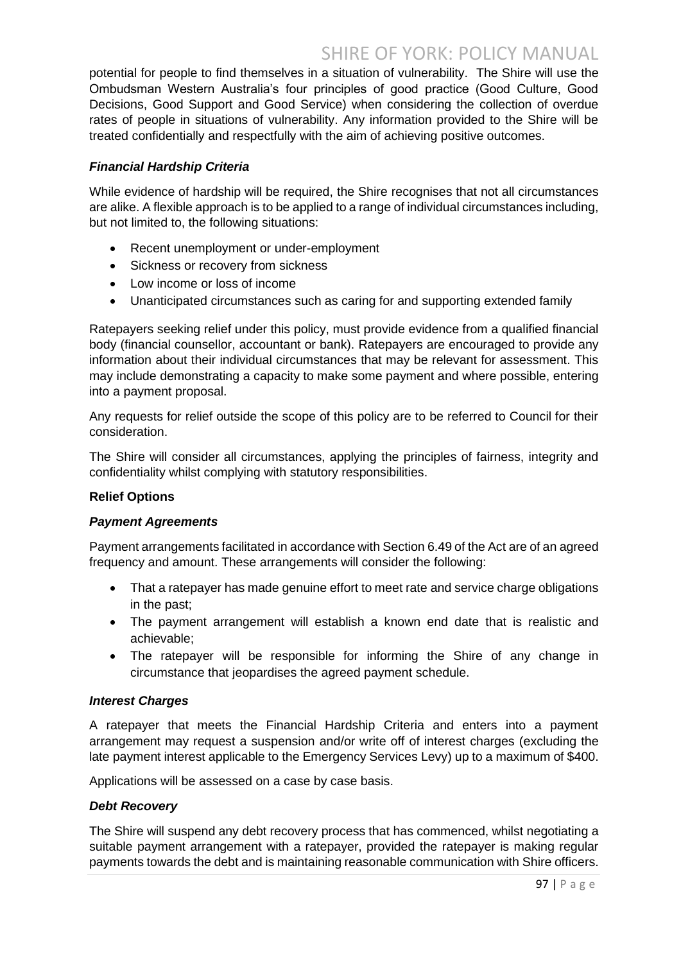# SHIRE OF YORK: POLICY MANUAL

potential for people to find themselves in a situation of vulnerability. The Shire will use the Ombudsman Western Australia's four principles of good practice (Good Culture, Good Decisions, Good Support and Good Service) when considering the collection of overdue rates of people in situations of vulnerability. Any information provided to the Shire will be treated confidentially and respectfully with the aim of achieving positive outcomes.

#### *Financial Hardship Criteria*

While evidence of hardship will be required, the Shire recognises that not all circumstances are alike. A flexible approach is to be applied to a range of individual circumstances including, but not limited to, the following situations:

- Recent unemployment or under-employment
- Sickness or recovery from sickness
- Low income or loss of income
- Unanticipated circumstances such as caring for and supporting extended family

Ratepayers seeking relief under this policy, must provide evidence from a qualified financial body (financial counsellor, accountant or bank). Ratepayers are encouraged to provide any information about their individual circumstances that may be relevant for assessment. This may include demonstrating a capacity to make some payment and where possible, entering into a payment proposal.

Any requests for relief outside the scope of this policy are to be referred to Council for their consideration.

The Shire will consider all circumstances, applying the principles of fairness, integrity and confidentiality whilst complying with statutory responsibilities.

#### **Relief Options**

#### *Payment Agreements*

Payment arrangements facilitated in accordance with Section 6.49 of the Act are of an agreed frequency and amount. These arrangements will consider the following:

- That a ratepayer has made genuine effort to meet rate and service charge obligations in the past;
- The payment arrangement will establish a known end date that is realistic and achievable;
- The ratepayer will be responsible for informing the Shire of any change in circumstance that jeopardises the agreed payment schedule.

#### *Interest Charges*

A ratepayer that meets the Financial Hardship Criteria and enters into a payment arrangement may request a suspension and/or write off of interest charges (excluding the late payment interest applicable to the Emergency Services Levy) up to a maximum of \$400.

Applications will be assessed on a case by case basis.

#### *Debt Recovery*

The Shire will suspend any debt recovery process that has commenced, whilst negotiating a suitable payment arrangement with a ratepayer, provided the ratepayer is making regular payments towards the debt and is maintaining reasonable communication with Shire officers.